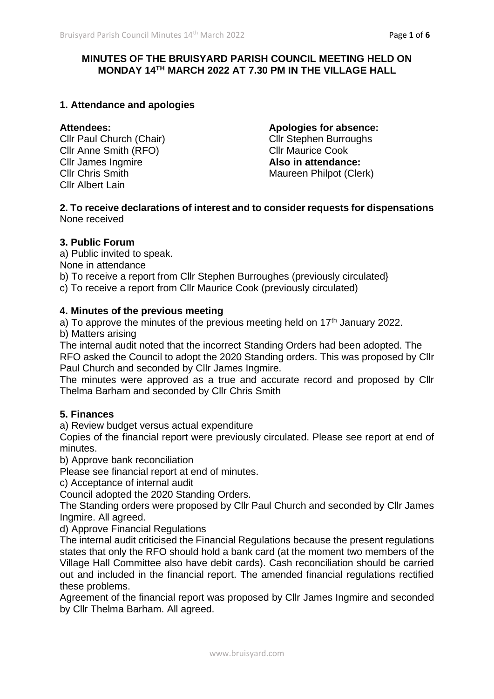# **MINUTES OF THE BRUISYARD PARISH COUNCIL MEETING HELD ON MONDAY 14TH MARCH 2022 AT 7.30 PM IN THE VILLAGE HALL**

# **1. Attendance and apologies**

Cllr Anne Smith (RFO) Cllr James Ingmire **Also in attendance:** Cllr Albert Lain

**Attendees: Apologies for absence:** Cllr Paul Church (Chair)<br>
Cllr Stephen Burroughs<br>
Cllr Anne Smith (RFO)<br>
Cllr Maurice Cook **Cllr Chris Smith Maureen Philpot (Clerk)** 

#### **2. To receive declarations of interest and to consider requests for dispensations** None received

#### **3. Public Forum**

a) Public invited to speak.

None in attendance

b) To receive a report from Cllr Stephen Burroughes (previously circulated}

c) To receive a report from Cllr Maurice Cook (previously circulated)

# **4. Minutes of the previous meeting**

a) To approve the minutes of the previous meeting held on  $17<sup>th</sup>$  January 2022. b) Matters arising

The internal audit noted that the incorrect Standing Orders had been adopted. The RFO asked the Council to adopt the 2020 Standing orders. This was proposed by Cllr Paul Church and seconded by Cllr James Ingmire.

The minutes were approved as a true and accurate record and proposed by Cllr Thelma Barham and seconded by Cllr Chris Smith

# **5. Finances**

a) Review budget versus actual expenditure

Copies of the financial report were previously circulated. Please see report at end of minutes.

b) Approve bank reconciliation

Please see financial report at end of minutes.

c) Acceptance of internal audit

Council adopted the 2020 Standing Orders.

The Standing orders were proposed by Cllr Paul Church and seconded by Cllr James Ingmire. All agreed.

d) Approve Financial Regulations

The internal audit criticised the Financial Regulations because the present regulations states that only the RFO should hold a bank card (at the moment two members of the Village Hall Committee also have debit cards). Cash reconciliation should be carried out and included in the financial report. The amended financial regulations rectified these problems.

Agreement of the financial report was proposed by Cllr James Ingmire and seconded by Cllr Thelma Barham. All agreed.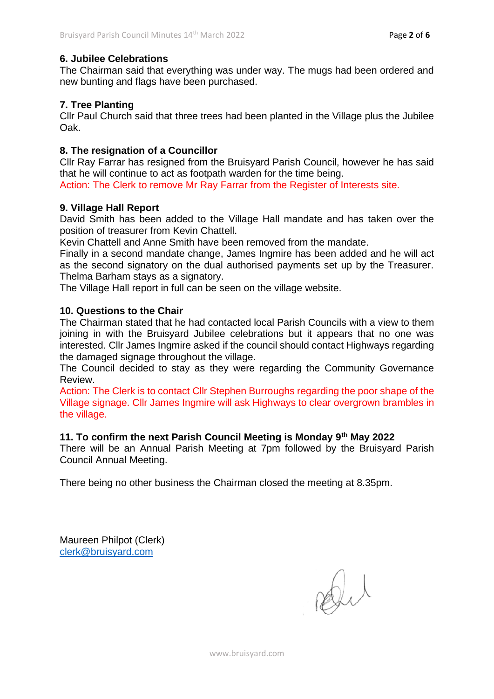# **6. Jubilee Celebrations**

The Chairman said that everything was under way. The mugs had been ordered and new bunting and flags have been purchased.

# **7. Tree Planting**

Cllr Paul Church said that three trees had been planted in the Village plus the Jubilee Oak.

# **8. The resignation of a Councillor**

Cllr Ray Farrar has resigned from the Bruisyard Parish Council, however he has said that he will continue to act as footpath warden for the time being.

Action: The Clerk to remove Mr Ray Farrar from the Register of Interests site.

# **9. Village Hall Report**

David Smith has been added to the Village Hall mandate and has taken over the position of treasurer from Kevin Chattell.

Kevin Chattell and Anne Smith have been removed from the mandate.

Finally in a second mandate change, James Ingmire has been added and he will act as the second signatory on the dual authorised payments set up by the Treasurer. Thelma Barham stays as a signatory.

The Village Hall report in full can be seen on the village website.

# **10. Questions to the Chair**

The Chairman stated that he had contacted local Parish Councils with a view to them joining in with the Bruisyard Jubilee celebrations but it appears that no one was interested. Cllr James Ingmire asked if the council should contact Highways regarding the damaged signage throughout the village.

The Council decided to stay as they were regarding the Community Governance Review.

Action: The Clerk is to contact Cllr Stephen Burroughs regarding the poor shape of the Village signage. Cllr James Ingmire will ask Highways to clear overgrown brambles in the village.

# **11. To confirm the next Parish Council Meeting is Monday 9th May 2022**

There will be an Annual Parish Meeting at 7pm followed by the Bruisyard Parish Council Annual Meeting.

There being no other business the Chairman closed the meeting at 8.35pm.

Maureen Philpot (Clerk) [clerk@bruisyard.com](mailto:clerk@bruisyard.com)

Du

www.bruisyard.com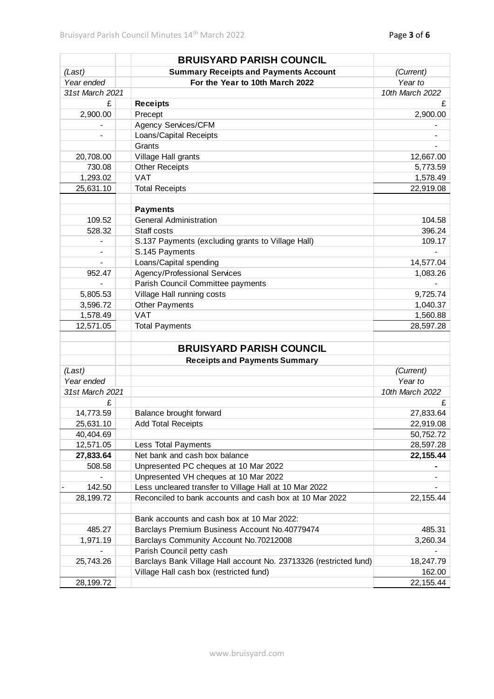|                 | <b>BRUISYARD PARISH COUNCIL</b>                                   |                 |
|-----------------|-------------------------------------------------------------------|-----------------|
| (Last)          | <b>Summary Receipts and Payments Account</b>                      | (Current)       |
| Year ended      | For the Year to 10th March 2022                                   | Year to         |
| 31st March 2021 |                                                                   | 10th March 2022 |
| £               | <b>Receipts</b>                                                   | £               |
| 2,900.00        | Precept                                                           | 2,900.00        |
|                 | Agency Services/CFM                                               |                 |
|                 | Loans/Capital Receipts                                            |                 |
|                 | Grants                                                            |                 |
| 20,708.00       | Village Hall grants                                               | 12,667.00       |
| 730.08          | <b>Other Receipts</b>                                             | 5,773.59        |
| 1,293.02        | <b>VAT</b>                                                        | 1,578.49        |
| 25,631.10       | <b>Total Receipts</b>                                             | 22,919.08       |
|                 |                                                                   |                 |
|                 | <b>Payments</b>                                                   |                 |
| 109.52          | <b>General Administration</b>                                     | 104.58          |
| 528.32          | Staff costs                                                       | 396.24          |
|                 | S.137 Payments (excluding grants to Village Hall)                 | 109.17          |
|                 | S.145 Payments                                                    |                 |
|                 | Loans/Capital spending                                            | 14,577.04       |
| 952.47          | Agency/Professional Services                                      | 1,083.26        |
|                 | Parish Council Committee payments                                 |                 |
| 5,805.53        | Village Hall running costs                                        | 9,725.74        |
| 3,596.72        | <b>Other Payments</b>                                             | 1,040.37        |
| 1,578.49        | <b>VAT</b>                                                        | 1,560.88        |
| 12,571.05       | <b>Total Payments</b>                                             | 28,597.28       |
|                 |                                                                   |                 |
|                 | <b>BRUISYARD PARISH COUNCIL</b>                                   |                 |
|                 | <b>Receipts and Payments Summary</b>                              |                 |
| (Last)          |                                                                   | (Current)       |
| Year ended      |                                                                   | Year to         |
| 31st March 2021 |                                                                   | 10th March 2022 |
| £               |                                                                   | £               |
| 14,773.59       | Balance brought forward                                           | 27,833.64       |
| 25,631.10       | <b>Add Total Receipts</b>                                         | 22,919.08       |
| 40,404.69       |                                                                   | 50,752.72       |
| 12,571.05       | Less Total Payments                                               | 28,597.28       |
| 27,833.64       | Net bank and cash box balance                                     | 22, 155.44      |
| 508.58          | Unpresented PC cheques at 10 Mar 2022                             |                 |
|                 | Unpresented VH cheques at 10 Mar 2022                             |                 |
| 142.50          | Less uncleared transfer to Village Hall at 10 Mar 2022            |                 |
| 28,199.72       | Reconciled to bank accounts and cash box at 10 Mar 2022           | 22, 155.44      |
|                 |                                                                   |                 |
|                 | Bank accounts and cash box at 10 Mar 2022:                        |                 |
| 485.27          | Barclays Premium Business Account No.40779474                     | 485.31          |
| 1,971.19        | Barclays Community Account No.70212008                            | 3,260.34        |
|                 | Parish Council petty cash                                         |                 |
| 25,743.26       | Barclays Bank Village Hall account No. 23713326 (restricted fund) | 18,247.79       |
|                 | Village Hall cash box (restricted fund)                           | 162.00          |
| 28,199.72       |                                                                   | 22, 155.44      |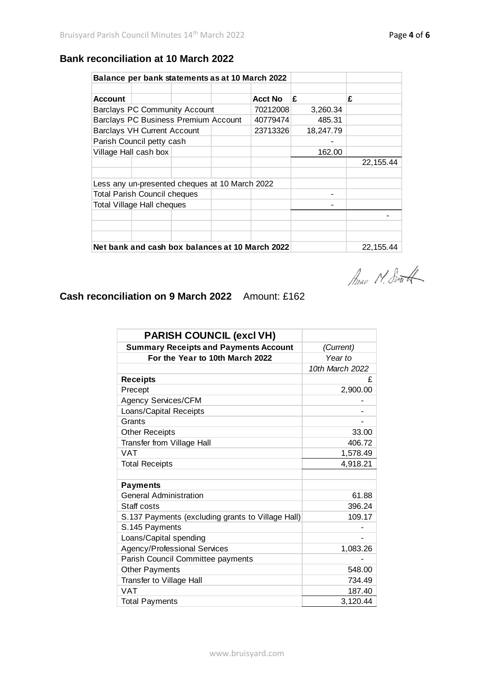# **Bank reconciliation at 10 March 2022**

| Balance per bank statements as at 10 March 2022 |                                                 |  |            |                |           |            |
|-------------------------------------------------|-------------------------------------------------|--|------------|----------------|-----------|------------|
|                                                 |                                                 |  |            |                |           |            |
| <b>Account</b>                                  |                                                 |  |            | <b>Acct No</b> | £         | £          |
| <b>Barclays PC Community Account</b>            |                                                 |  |            | 70212008       | 3,260.34  |            |
| Barclays PC Business Premium Account            |                                                 |  |            | 40779474       | 485.31    |            |
| <b>Barclays VH Current Account</b>              |                                                 |  |            | 23713326       | 18,247.79 |            |
| Parish Council petty cash                       |                                                 |  |            |                |           |            |
| Village Hall cash box                           |                                                 |  |            | 162.00         |           |            |
|                                                 |                                                 |  |            |                |           | 22, 155.44 |
|                                                 |                                                 |  |            |                |           |            |
|                                                 | Less any un-presented cheques at 10 March 2022  |  |            |                |           |            |
| <b>Total Parish Council cheques</b>             |                                                 |  |            |                |           |            |
| <b>Total Village Hall cheques</b>               |                                                 |  |            |                |           |            |
|                                                 |                                                 |  |            |                |           |            |
|                                                 |                                                 |  |            |                |           |            |
|                                                 |                                                 |  |            |                |           |            |
|                                                 | Net bank and cash box balances at 10 March 2022 |  | 22, 155.44 |                |           |            |

Anac N. South

**Cash reconciliation on 9 March 2022** Amount: £162

| <b>PARISH COUNCIL (excl VH)</b>                   |                 |  |
|---------------------------------------------------|-----------------|--|
| <b>Summary Receipts and Payments Account</b>      | (Current)       |  |
| For the Year to 10th March 2022                   | Year to         |  |
|                                                   | 10th March 2022 |  |
| <b>Receipts</b>                                   | £               |  |
| Precept                                           | 2,900.00        |  |
| <b>Agency Services/CFM</b>                        |                 |  |
| Loans/Capital Receipts                            |                 |  |
| Grants                                            |                 |  |
| <b>Other Receipts</b>                             | 33.00           |  |
| Transfer from Village Hall                        | 406.72          |  |
| <b>VAT</b>                                        | 1,578.49        |  |
| <b>Total Receipts</b>                             | 4,918.21        |  |
|                                                   |                 |  |
| <b>Payments</b>                                   |                 |  |
| <b>General Administration</b>                     | 61.88           |  |
| Staff costs                                       | 396.24          |  |
| S.137 Payments (excluding grants to Village Hall) | 109.17          |  |
| S.145 Payments                                    |                 |  |
| Loans/Capital spending                            |                 |  |
| Agency/Professional Services                      | 1,083.26        |  |
| Parish Council Committee payments                 |                 |  |
| <b>Other Payments</b>                             | 548.00          |  |
| Transfer to Village Hall                          | 734.49          |  |
| <b>VAT</b>                                        | 187.40          |  |
| <b>Total Payments</b>                             | 3,120.44        |  |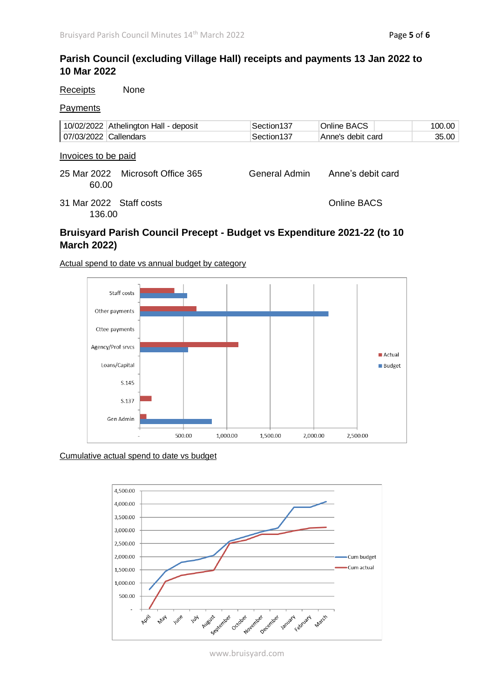# **Parish Council (excluding Village Hall) receipts and payments 13 Jan 2022 to 10 Mar 2022**

| Receipts                     | None                                  |               |                   |        |
|------------------------------|---------------------------------------|---------------|-------------------|--------|
| Payments                     |                                       |               |                   |        |
|                              | 10/02/2022 Athelington Hall - deposit | Section137    | Online BACS       | 100.00 |
| 07/03/2022 Callendars        |                                       | Section137    | Anne's debit card | 35.00  |
| Invoices to be paid<br>60.00 | 25 Mar 2022 Microsoft Office 365      | General Admin | Anne's debit card |        |
| 136.00                       | 31 Mar 2022 Staff costs               |               | Online BACS       |        |

# **Bruisyard Parish Council Precept - Budget vs Expenditure 2021-22 (to 10 March 2022)**

Actual spend to date vs annual budget by category



#### Cumulative actual spend to date vs budget



www.bruisyard.com